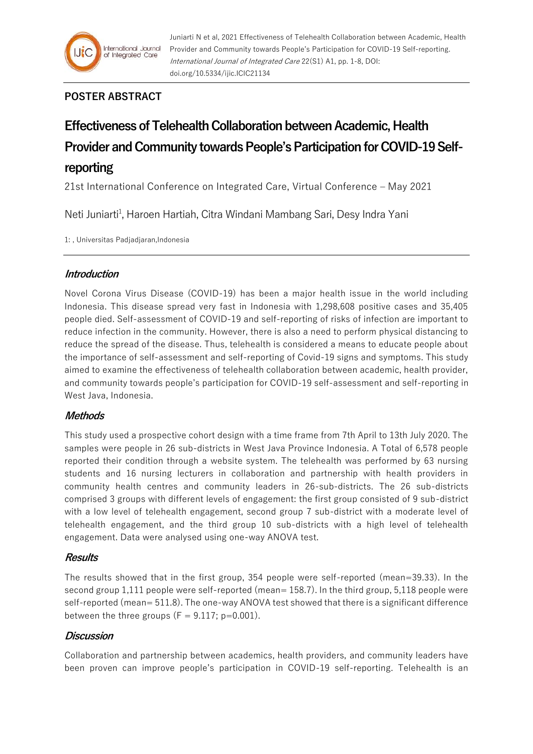

## **POSTER ABSTRACT**

# **Effectiveness of Telehealth Collaboration between Academic, Health Provider and Community towards People's Participation for COVID-19 Selfreporting**

21st International Conference on Integrated Care, Virtual Conference – May 2021

Neti Juniarti<sup>1</sup>, Haroen Hartiah, Citra Windani Mambang Sari, Desy Indra Yani

1: , Universitas Padjadjaran,Indonesia

#### **Introduction**

Novel Corona Virus Disease (COVID-19) has been a major health issue in the world including Indonesia. This disease spread very fast in Indonesia with 1,298,608 positive cases and 35,405 people died. Self-assessment of COVID-19 and self-reporting of risks of infection are important to reduce infection in the community. However, there is also a need to perform physical distancing to reduce the spread of the disease. Thus, telehealth is considered a means to educate people about the importance of self-assessment and self-reporting of Covid-19 signs and symptoms. This study aimed to examine the effectiveness of telehealth collaboration between academic, health provider, and community towards people's participation for COVID-19 self-assessment and self-reporting in West Java, Indonesia.

### **Methods**

This study used a prospective cohort design with a time frame from 7th April to 13th July 2020. The samples were people in 26 sub-districts in West Java Province Indonesia. A Total of 6,578 people reported their condition through a website system. The telehealth was performed by 63 nursing students and 16 nursing lecturers in collaboration and partnership with health providers in community health centres and community leaders in 26-sub-districts. The 26 sub-districts comprised 3 groups with different levels of engagement: the first group consisted of 9 sub-district with a low level of telehealth engagement, second group 7 sub-district with a moderate level of telehealth engagement, and the third group 10 sub-districts with a high level of telehealth engagement. Data were analysed using one-way ANOVA test.

#### **Results**

The results showed that in the first group, 354 people were self-reported (mean=39.33). In the second group 1,111 people were self-reported (mean= 158.7). In the third group, 5,118 people were self-reported (mean= 511.8). The one-way ANOVA test showed that there is a significant difference between the three groups ( $F = 9.117$ ; p=0.001).

#### **Discussion**

Collaboration and partnership between academics, health providers, and community leaders have been proven can improve people's participation in COVID-19 self-reporting. Telehealth is an